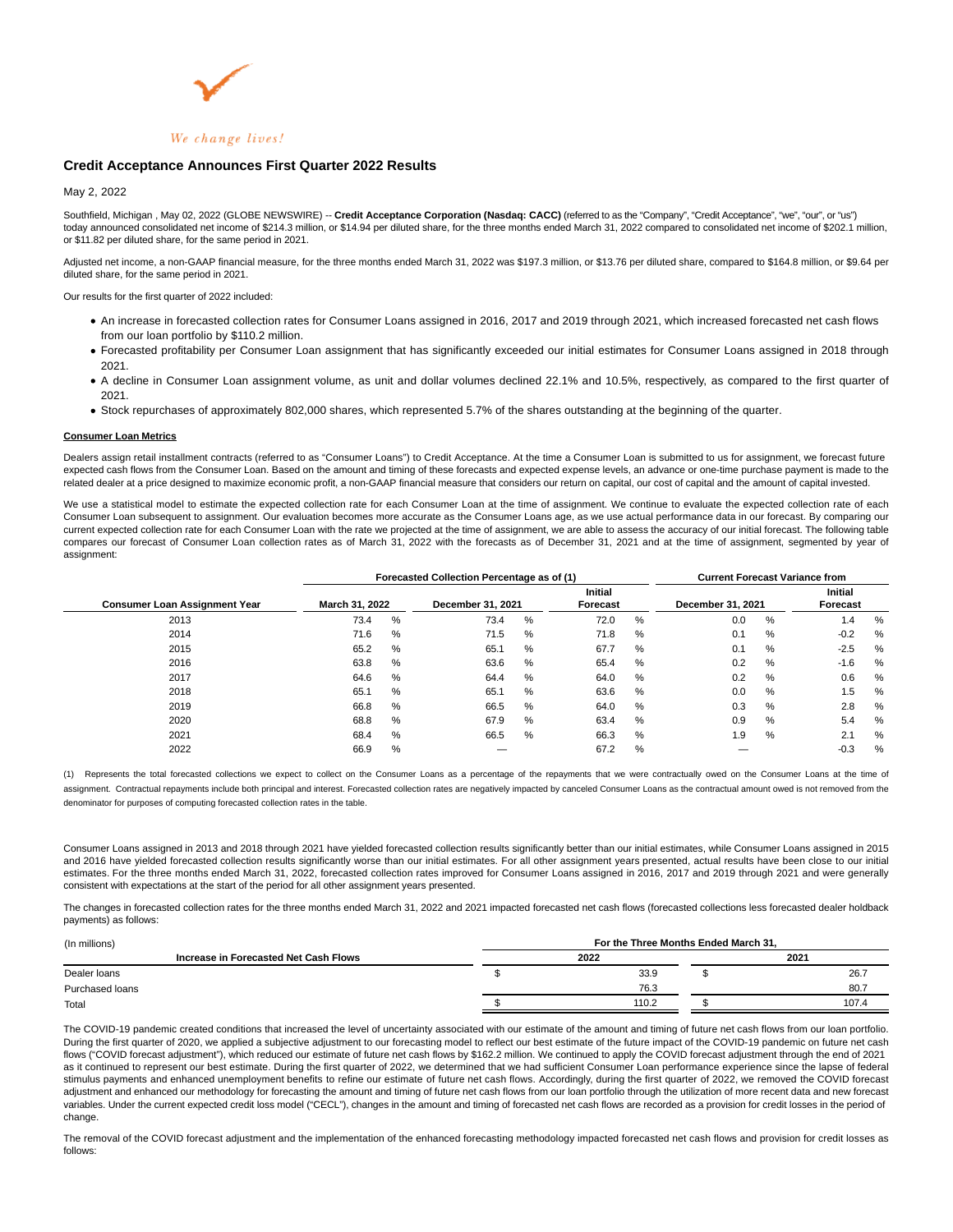

# **Credit Acceptance Announces First Quarter 2022 Results**

## May 2, 2022

Southfield, Michigan , May 02, 2022 (GLOBE NEWSWIRE) -- **Credit Acceptance Corporation (Nasdaq: CACC)** (referred to as the "Company", "Credit Acceptance", "we", "our", or "us") today announced consolidated net income of \$214.3 million, or \$14.94 per diluted share, for the three months ended March 31, 2022 compared to consolidated net income of \$202.1 million, or \$11.82 per diluted share, for the same period in 2021.

Adjusted net income, a non-GAAP financial measure, for the three months ended March 31, 2022 was \$197.3 million, or \$13.76 per diluted share, compared to \$164.8 million, or \$9.64 per diluted share, for the same period in 2021.

Our results for the first quarter of 2022 included:

- An increase in forecasted collection rates for Consumer Loans assigned in 2016, 2017 and 2019 through 2021, which increased forecasted net cash flows from our loan portfolio by \$110.2 million.
- Forecasted profitability per Consumer Loan assignment that has significantly exceeded our initial estimates for Consumer Loans assigned in 2018 through 2021.
- A decline in Consumer Loan assignment volume, as unit and dollar volumes declined 22.1% and 10.5%, respectively, as compared to the first quarter of 2021.
- Stock repurchases of approximately 802,000 shares, which represented 5.7% of the shares outstanding at the beginning of the quarter.

#### **Consumer Loan Metrics**

Dealers assign retail installment contracts (referred to as "Consumer Loans") to Credit Acceptance. At the time a Consumer Loan is submitted to us for assignment, we forecast future expected cash flows from the Consumer Loan. Based on the amount and timing of these forecasts and expected expense levels, an advance or one-time purchase payment is made to the related dealer at a price designed to maximize economic profit, a non-GAAP financial measure that considers our return on capital, our cost of capital and the amount of capital invested.

We use a statistical model to estimate the expected collection rate for each Consumer Loan at the time of assignment. We continue to evaluate the expected collection rate of each Consumer Loan subsequent to assignment. Our evaluation becomes more accurate as the Consumer Loans age, as we use actual performance data in our forecast. By comparing our current expected collection rate for each Consumer Loan with the rate we projected at the time of assignment, we are able to assess the accuracy of our initial forecast. The following table compares our forecast of Consumer Loan collection rates as of March 31, 2022 with the forecasts as of December 31, 2021 and at the time of assignment, segmented by year of assignment:

|                                      |                |   | Forecasted Collection Percentage as of (1) | <b>Current Forecast Variance from</b> |      |                   |                            |   |        |   |
|--------------------------------------|----------------|---|--------------------------------------------|---------------------------------------|------|-------------------|----------------------------|---|--------|---|
| <b>Consumer Loan Assignment Year</b> | March 31, 2022 |   | December 31, 2021                          | <b>Initial</b><br>Forecast            |      | December 31, 2021 | <b>Initial</b><br>Forecast |   |        |   |
| 2013                                 | 73.4           | % | 73.4                                       | %                                     | 72.0 | %                 | 0.0                        | % | 1.4    | % |
| 2014                                 | 71.6           | % | 71.5                                       | %                                     | 71.8 | %                 | 0.1                        | % | $-0.2$ | % |
| 2015                                 | 65.2           | % | 65.7                                       | %                                     | 67.7 | %                 | 0.1                        | % | $-2.5$ | % |
| 2016                                 | 63.8           | % | 63.6                                       | %                                     | 65.4 | %                 | 0.2                        | % | $-1.6$ | % |
| 2017                                 | 64.6           | % | 64.4                                       | %                                     | 64.0 | %                 | 0.2                        | % | 0.6    | % |
| 2018                                 | 65.1           | % | 65.7                                       | %                                     | 63.6 | %                 | 0.0                        | % | 1.5    | % |
| 2019                                 | 66.8           | % | 66.5                                       | %                                     | 64.0 | %                 | 0.3                        | % | 2.8    | % |
| 2020                                 | 68.8           | % | 67.9                                       | %                                     | 63.4 | %                 | 0.9                        | % | 5.4    | % |
| 2021                                 | 68.4           | % | 66.5                                       | %                                     | 66.3 | %                 | 1.9                        | % | 2.1    | % |
| 2022                                 | 66.9           | % |                                            |                                       | 67.2 | %                 |                            |   | $-0.3$ | % |

(1) Represents the total forecasted collections we expect to collect on the Consumer Loans as a percentage of the repayments that we were contractually owed on the Consumer Loans at the time of assignment. Contractual repayments include both principal and interest. Forecasted collection rates are negatively impacted by canceled Consumer Loans as the contractual amount owed is not removed from the denominator for purposes of computing forecasted collection rates in the table.

Consumer Loans assigned in 2013 and 2018 through 2021 have yielded forecasted collection results significantly better than our initial estimates, while Consumer Loans assigned in 2015 and 2016 have yielded forecasted collection results significantly worse than our initial estimates. For all other assignment years presented, actual results have been close to our initial estimates. For the three months ended March 31, 2022, forecasted collection rates improved for Consumer Loans assigned in 2016, 2017 and 2019 through 2021 and were generally consistent with expectations at the start of the period for all other assignment years presented.

The changes in forecasted collection rates for the three months ended March 31, 2022 and 2021 impacted forecasted net cash flows (forecasted collections less forecasted dealer holdback payments) as follows:

| For the Three Months Ended March 31. |       |  |       |  |  |  |  |  |
|--------------------------------------|-------|--|-------|--|--|--|--|--|
|                                      | 2022  |  | 2021  |  |  |  |  |  |
|                                      | 33.9  |  | 26.7  |  |  |  |  |  |
|                                      | 76.3  |  | 80.7  |  |  |  |  |  |
|                                      | 110.2 |  | 107.4 |  |  |  |  |  |
|                                      |       |  |       |  |  |  |  |  |

The COVID-19 pandemic created conditions that increased the level of uncertainty associated with our estimate of the amount and timing of future net cash flows from our loan portfolio. During the first quarter of 2020, we applied a subjective adjustment to our forecasting model to reflect our best estimate of the future impact of the COVID-19 pandemic on future net cash flows ("COVID forecast adjustment"), which reduced our estimate of future net cash flows by \$162.2 million. We continued to apply the COVID forecast adjustment through the end of 2021 as it continued to represent our best estimate. During the first quarter of 2022, we determined that we had sufficient Consumer Loan performance experience since the lapse of federal stimulus payments and enhanced unemployment benefits to refine our estimate of future net cash flows. Accordingly, during the first quarter of 2022, we removed the COVID forecast adjustment and enhanced our methodology for forecasting the amount and timing of future net cash flows from our loan portfolio through the utilization of more recent data and new forecast variables. Under the current expected credit loss model ("CECL"), changes in the amount and timing of forecasted net cash flows are recorded as a provision for credit losses in the period of change.

The removal of the COVID forecast adjustment and the implementation of the enhanced forecasting methodology impacted forecasted net cash flows and provision for credit losses as follows: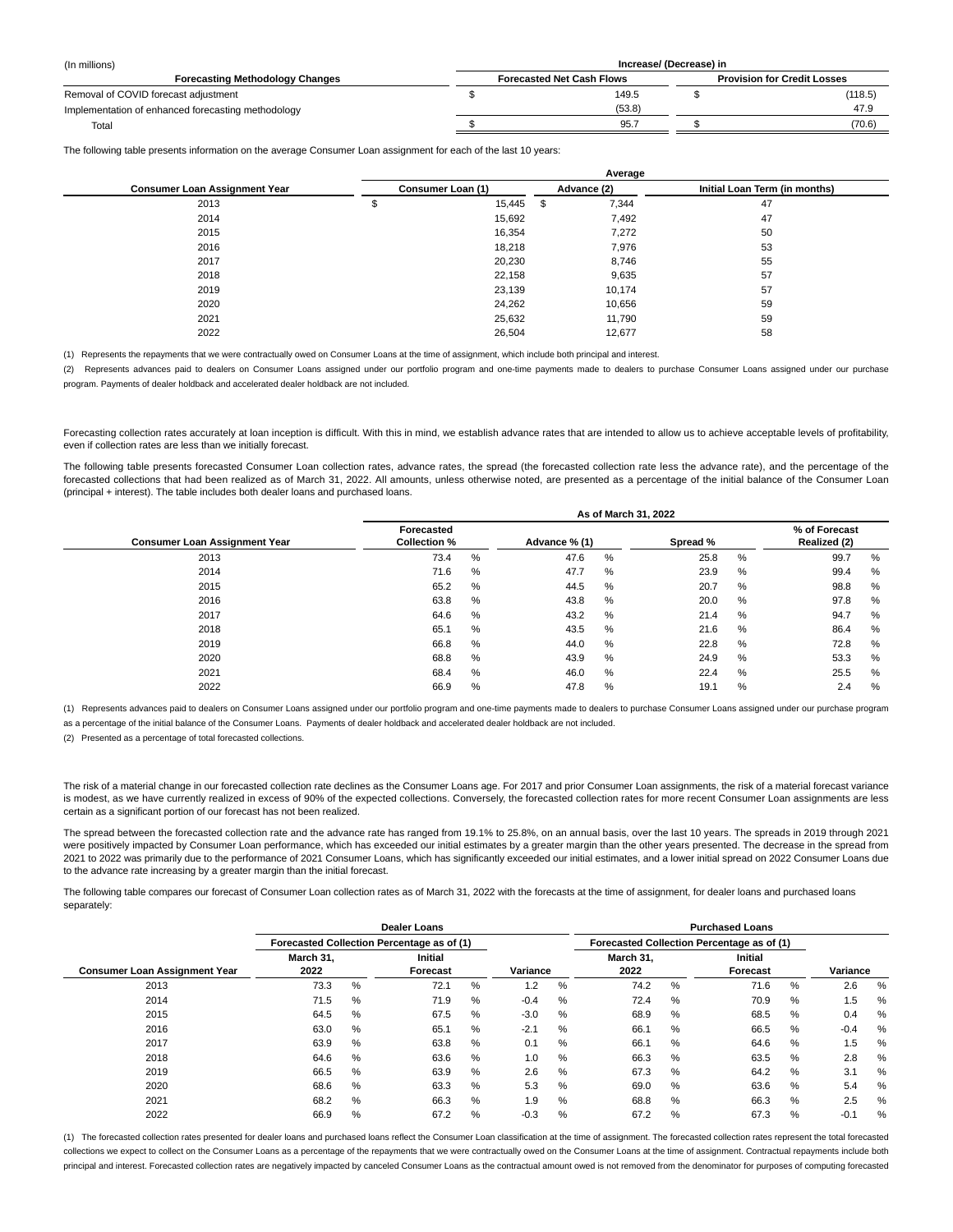| (In millions)                                      | Increase/ (Decrease) in          |                                    |         |  |  |  |  |  |  |
|----------------------------------------------------|----------------------------------|------------------------------------|---------|--|--|--|--|--|--|
| <b>Forecasting Methodology Changes</b>             | <b>Forecasted Net Cash Flows</b> | <b>Provision for Credit Losses</b> |         |  |  |  |  |  |  |
| Removal of COVID forecast adjustment               | 149.5                            |                                    | (118.5) |  |  |  |  |  |  |
| Implementation of enhanced forecasting methodology | (53.8)                           |                                    | 47.9    |  |  |  |  |  |  |
| Total                                              | 95.7                             |                                    | (70.6)  |  |  |  |  |  |  |

The following table presents information on the average Consumer Loan assignment for each of the last 10 years:

|                                      |                   | Average |             |        |                               |  |  |  |  |  |  |
|--------------------------------------|-------------------|---------|-------------|--------|-------------------------------|--|--|--|--|--|--|
| <b>Consumer Loan Assignment Year</b> | Consumer Loan (1) |         | Advance (2) |        | Initial Loan Term (in months) |  |  |  |  |  |  |
| 2013                                 |                   | 15,445  | \$          | 7,344  | 47                            |  |  |  |  |  |  |
| 2014                                 |                   | 15,692  |             | 7,492  | 47                            |  |  |  |  |  |  |
| 2015                                 |                   | 16,354  |             | 7,272  | 50                            |  |  |  |  |  |  |
| 2016                                 |                   | 18,218  |             | 7,976  | 53                            |  |  |  |  |  |  |
| 2017                                 |                   | 20,230  |             | 8,746  | 55                            |  |  |  |  |  |  |
| 2018                                 |                   | 22.158  |             | 9,635  | 57                            |  |  |  |  |  |  |
| 2019                                 |                   | 23,139  |             | 10,174 | 57                            |  |  |  |  |  |  |
| 2020                                 |                   | 24,262  |             | 10,656 | 59                            |  |  |  |  |  |  |
| 2021                                 |                   | 25,632  |             | 11,790 | 59                            |  |  |  |  |  |  |
| 2022                                 |                   | 26,504  |             | 12,677 | 58                            |  |  |  |  |  |  |

(1) Represents the repayments that we were contractually owed on Consumer Loans at the time of assignment, which include both principal and interest.

(2) Represents advances paid to dealers on Consumer Loans assigned under our portfolio program and one-time payments made to dealers to purchase Consumer Loans assigned under our purchase program. Payments of dealer holdback and accelerated dealer holdback are not included.

Forecasting collection rates accurately at loan inception is difficult. With this in mind, we establish advance rates that are intended to allow us to achieve acceptable levels of profitability, even if collection rates are less than we initially forecast.

The following table presents forecasted Consumer Loan collection rates, advance rates, the spread (the forecasted collection rate less the advance rate), and the percentage of the forecasted collections that had been realized as of March 31, 2022. All amounts, unless otherwise noted, are presented as a percentage of the initial balance of the Consumer Loan (principal + interest). The table includes both dealer loans and purchased loans.

|                                      | As of March 31, 2022              |               |          |   |                               |      |      |   |  |  |  |  |
|--------------------------------------|-----------------------------------|---------------|----------|---|-------------------------------|------|------|---|--|--|--|--|
| <b>Consumer Loan Assignment Year</b> | Forecasted<br><b>Collection %</b> | Advance % (1) | Spread % |   | % of Forecast<br>Realized (2) |      |      |   |  |  |  |  |
| 2013                                 | 73.4                              | %             | 47.6     | % | 25.8                          | %    | 99.7 | % |  |  |  |  |
| 2014                                 | 71.6                              | %             | 47.7     | % | 23.9                          | %    | 99.4 | % |  |  |  |  |
| 2015                                 | 65.2                              | %             | 44.5     | % | 20.7                          | %    | 98.8 | % |  |  |  |  |
| 2016                                 | 63.8                              | %             | 43.8     | % | 20.0                          | %    | 97.8 | % |  |  |  |  |
| 2017                                 | 64.6                              | %             | 43.2     | % | 21.4                          | $\%$ | 94.7 | % |  |  |  |  |
| 2018                                 | 65.1                              | %             | 43.5     | % | 21.6                          | %    | 86.4 | % |  |  |  |  |
| 2019                                 | 66.8                              | %             | 44.0     | % | 22.8                          | %    | 72.8 | % |  |  |  |  |
| 2020                                 | 68.8                              | %             | 43.9     | % | 24.9                          | %    | 53.3 | % |  |  |  |  |
| 2021                                 | 68.4                              | %             | 46.0     | % | 22.4                          | %    | 25.5 | % |  |  |  |  |
| 2022                                 | 66.9                              | $\%$          | 47.8     | % | 19.1                          | $\%$ | 2.4  | % |  |  |  |  |

(1) Represents advances paid to dealers on Consumer Loans assigned under our portfolio program and one-time payments made to dealers to purchase Consumer Loans assigned under our purchase program

as a percentage of the initial balance of the Consumer Loans. Payments of dealer holdback and accelerated dealer holdback are not included.

(2) Presented as a percentage of total forecasted collections.

The risk of a material change in our forecasted collection rate declines as the Consumer Loans age. For 2017 and prior Consumer Loan assignments, the risk of a material forecast variance is modest, as we have currently realized in excess of 90% of the expected collections. Conversely, the forecasted collection rates for more recent Consumer Loan assignments are less certain as a significant portion of our forecast has not been realized.

The spread between the forecasted collection rate and the advance rate has ranged from 19.1% to 25.8%, on an annual basis, over the last 10 years. The spreads in 2019 through 2021 were positively impacted by Consumer Loan performance, which has exceeded our initial estimates by a greater margin than the other years presented. The decrease in the spread from 2021 to 2022 was primarily due to the performance of 2021 Consumer Loans, which has significantly exceeded our initial estimates, and a lower initial spread on 2022 Consumer Loans due to the advance rate increasing by a greater margin than the initial forecast.

The following table compares our forecast of Consumer Loan collection rates as of March 31, 2022 with the forecasts at the time of assignment, for dealer loans and purchased loans separately:

|                                      |                                            |      | <b>Dealer Loans</b> |                                            |          |      |                   |      |                            |   |          |   |
|--------------------------------------|--------------------------------------------|------|---------------------|--------------------------------------------|----------|------|-------------------|------|----------------------------|---|----------|---|
|                                      | Forecasted Collection Percentage as of (1) |      |                     | Forecasted Collection Percentage as of (1) |          |      |                   |      |                            |   |          |   |
| <b>Consumer Loan Assignment Year</b> | March 31.<br>2022                          |      | Initial<br>Forecast |                                            | Variance |      | March 31.<br>2022 |      | <b>Initial</b><br>Forecast |   | Variance |   |
| 2013                                 | 73.3                                       | $\%$ | 72.1                | %                                          | 1.2      | $\%$ | 74.2              | %    | 71.6                       | % | 2.6      | % |
| 2014                                 | 71.5                                       | $\%$ | 71.9                | %                                          | $-0.4$   | %    | 72.4              | %    | 70.9                       | % | 1.5      | % |
| 2015                                 | 64.5                                       | $\%$ | 67.5                | %                                          | $-3.0$   | %    | 68.9              | %    | 68.5                       | % | 0.4      | % |
| 2016                                 | 63.0                                       | %    | 65.1                | %                                          | $-2.1$   | $\%$ | 66.1              | %    | 66.5                       | % | $-0.4$   | % |
| 2017                                 | 63.9                                       | $\%$ | 63.8                | %                                          | 0.1      | %    | 66.1              | $\%$ | 64.6                       | % | 1.5      | % |
| 2018                                 | 64.6                                       | $\%$ | 63.6                | %                                          | 1.0      | %    | 66.3              | %    | 63.5                       | % | 2.8      | % |
| 2019                                 | 66.5                                       | $\%$ | 63.9                | %                                          | 2.6      | $\%$ | 67.3              | %    | 64.2                       | % | 3.1      | % |
| 2020                                 | 68.6                                       | $\%$ | 63.3                | $\%$                                       | 5.3      | %    | 69.0              | $\%$ | 63.6                       | % | 5.4      | % |
| 2021                                 | 68.2                                       | $\%$ | 66.3                | %                                          | 1.9      | $\%$ | 68.8              | %    | 66.3                       | % | 2.5      | % |
| 2022                                 | 66.9                                       | %    | 67.2                | %                                          | $-0.3$   | %    | 67.2              | %    | 67.3                       | % | $-0.1$   | % |

(1) The forecasted collection rates presented for dealer loans and purchased loans reflect the Consumer Loan classification at the time of assignment. The forecasted collection rates represent the total forecasted collections we expect to collect on the Consumer Loans as a percentage of the repayments that we were contractually owed on the Consumer Loans at the time of assignment. Contractual repayments include both principal and interest. Forecasted collection rates are negatively impacted by canceled Consumer Loans as the contractual amount owed is not removed from the denominator for purposes of computing forecasted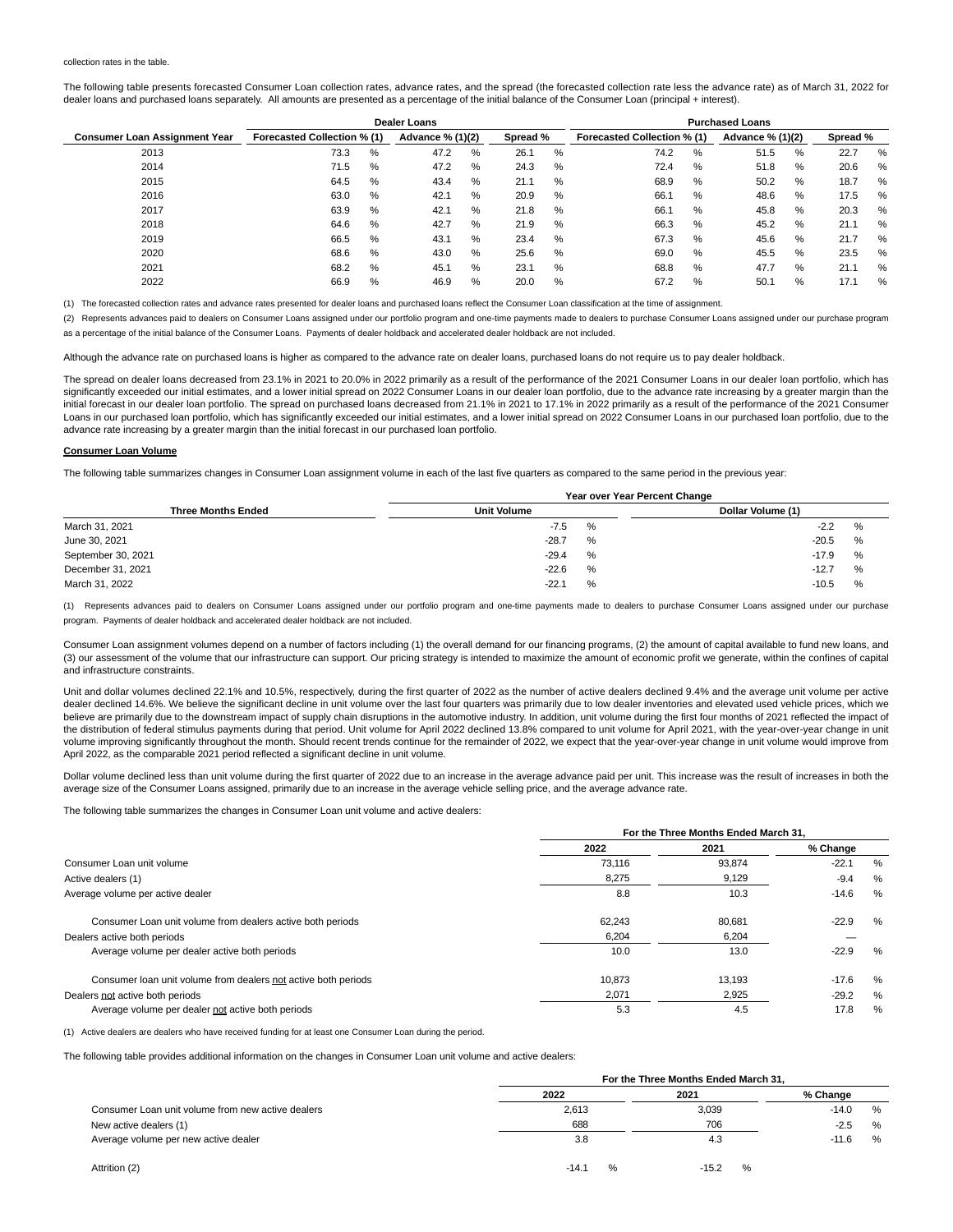#### collection rates in the table.

The following table presents forecasted Consumer Loan collection rates, advance rates, and the spread (the forecasted collection rate less the advance rate) as of March 31, 2022 for dealer loans and purchased loans separately. All amounts are presented as a percentage of the initial balance of the Consumer Loan (principal + interest).

|                                      |                             |  | Dealer Loans |                              |      | <b>Purchased Loans</b>      |              |                  |      |          |      |      |
|--------------------------------------|-----------------------------|--|--------------|------------------------------|------|-----------------------------|--------------|------------------|------|----------|------|------|
| <b>Consumer Loan Assignment Year</b> | Forecasted Collection % (1) |  |              | Spread %<br>Advance % (1)(2) |      | Forecasted Collection % (1) |              | Advance % (1)(2) |      | Spread % |      |      |
| 2013                                 | %<br>73.3                   |  | 47.2         | %                            | 26.1 | %                           | 74.2<br>%    |                  | 51.5 | %        | 22.7 | %    |
| 2014                                 | %<br>71.5                   |  | 47.2         | $\%$                         | 24.3 | %                           | $\%$<br>72.4 |                  | 51.8 | %        | 20.6 | %    |
| 2015                                 | 64.5<br>%                   |  | 43.4         | %                            | 21.1 | %                           | 68.9<br>%    |                  | 50.2 | %        | 18.7 | %    |
| 2016                                 | 63.0<br>%                   |  | 42.1         | %                            | 20.9 | %                           | %<br>66.1    |                  | 48.6 | ℅        | 17.5 | %    |
| 2017                                 | 63.9<br>%                   |  | 42.1         | %                            | 21.8 | %                           | %<br>66.1    |                  | 45.8 | %        | 20.3 | %    |
| 2018                                 | 64.6<br>%                   |  | 42.7         | %                            | 21.9 | %                           | 66.3<br>$\%$ |                  | 45.2 | %        | 21.1 | %    |
| 2019                                 | 66.5<br>%                   |  | 43.1         | %                            | 23.4 | %                           | 67.3<br>%    |                  | 45.6 | %        | 21.7 | %    |
| 2020                                 | 68.6<br>%                   |  | 43.0         | %                            | 25.6 | %                           | 69.0<br>%    |                  | 45.5 | %        | 23.5 | %    |
| 2021                                 | %<br>68.2                   |  | 45.1         | %                            | 23.1 | %                           | $\%$<br>68.8 |                  | 47.7 | %        | 21.1 | $\%$ |
| 2022                                 | 66.9<br>%                   |  | 46.9         | %                            | 20.0 | %                           | 67.2<br>%    |                  | 50.1 | %        | 17.1 | $\%$ |

(1) The forecasted collection rates and advance rates presented for dealer loans and purchased loans reflect the Consumer Loan classification at the time of assignment.

(2) Represents advances paid to dealers on Consumer Loans assigned under our portfolio program and one-time payments made to dealers to purchase Consumer Loans assigned under our purchase program as a percentage of the initial balance of the Consumer Loans. Payments of dealer holdback and accelerated dealer holdback are not included.

Although the advance rate on purchased loans is higher as compared to the advance rate on dealer loans, purchased loans do not require us to pay dealer holdback.

The spread on dealer loans decreased from 23.1% in 2021 to 20.0% in 2022 primarily as a result of the performance of the 2021 Consumer Loans in our dealer loan portfolio, which has significantly exceeded our initial estimates, and a lower initial spread on 2022 Consumer Loans in our dealer loan portfolio, due to the advance rate increasing by a greater margin than the initial forecast in our dealer loan portfolio. The spread on purchased loans decreased from 21.1% in 2021 to 17.1% in 2022 primarily as a result of the performance of the 2021 Consumer Loans in our purchased loan portfolio, which has significantly exceeded our initial estimates, and a lower initial spread on 2022 Consumer Loans in our purchased loan portfolio, due to the advance rate increasing by a greater margin than the initial forecast in our purchased loan portfolio.

#### **Consumer Loan Volume**

The following table summarizes changes in Consumer Loan assignment volume in each of the last five quarters as compared to the same period in the previous year:

|                           | Year over Year Percent Change |   |                   |   |  |  |  |  |  |
|---------------------------|-------------------------------|---|-------------------|---|--|--|--|--|--|
| <b>Three Months Ended</b> | <b>Unit Volume</b>            |   | Dollar Volume (1) |   |  |  |  |  |  |
| March 31, 2021            | $-7.5$                        | % | $-2.2$            | % |  |  |  |  |  |
| June 30, 2021             | $-28.7$                       | % | $-20.5$           | % |  |  |  |  |  |
| September 30, 2021        | $-29.4$                       | % | $-17.9$           | % |  |  |  |  |  |
| December 31, 2021         | $-22.6$                       | % | $-12.7$           | % |  |  |  |  |  |
| March 31, 2022            | $-22.1$                       | % | $-10.5$           | % |  |  |  |  |  |

(1) Represents advances paid to dealers on Consumer Loans assigned under our portfolio program and one-time payments made to dealers to purchase Consumer Loans assigned under our purchase program. Payments of dealer holdback and accelerated dealer holdback are not included.

Consumer Loan assignment volumes depend on a number of factors including (1) the overall demand for our financing programs, (2) the amount of capital available to fund new loans, and (3) our assessment of the volume that our infrastructure can support. Our pricing strategy is intended to maximize the amount of economic profit we generate, within the confines of capital and infrastructure constraints.

Unit and dollar volumes declined 22.1% and 10.5%, respectively, during the first quarter of 2022 as the number of active dealers declined 9.4% and the average unit volume per active dealer declined 14.6%. We believe the significant decline in unit volume over the last four quarters was primarily due to low dealer inventories and elevated used vehicle prices, which we believe are primarily due to the downstream impact of supply chain disruptions in the automotive industry. In addition, unit volume during the first four months of 2021 reflected the impact of the distribution of federal stimulus payments during that period. Unit volume for April 2022 declined 13.8% compared to unit volume for April 2021, with the year-over-year change in unit volume improving significantly throughout the month. Should recent trends continue for the remainder of 2022, we expect that the year-over-year change in unit volume would improve from April 2022, as the comparable 2021 period reflected a significant decline in unit volume.

Dollar volume declined less than unit volume during the first quarter of 2022 due to an increase in the average advance paid per unit. This increase was the result of increases in both the average size of the Consumer Loans assigned, primarily due to an increase in the average vehicle selling price, and the average advance rate.

The following table summarizes the changes in Consumer Loan unit volume and active dealers:

|                                                                |        | For the Three Months Ended March 31. |          |   |
|----------------------------------------------------------------|--------|--------------------------------------|----------|---|
|                                                                | 2022   | 2021                                 | % Change |   |
| Consumer Loan unit volume                                      | 73.116 | 93,874                               | $-22.1$  | % |
| Active dealers (1)                                             | 8,275  | 9,129                                | $-9.4$   | % |
| Average volume per active dealer                               | 8.8    | 10.3                                 | $-14.6$  | % |
| Consumer Loan unit volume from dealers active both periods     | 62.243 | 80.681                               | $-22.9$  | % |
| Dealers active both periods                                    | 6,204  | 6,204                                |          |   |
| Average volume per dealer active both periods                  | 10.0   | 13.0                                 | $-22.9$  | % |
| Consumer loan unit volume from dealers not active both periods | 10.873 | 13.193                               | $-17.6$  | % |
| Dealers not active both periods                                | 2,071  | 2,925                                | $-29.2$  | % |
| Average volume per dealer not active both periods              | 5.3    | 4.5                                  | 17.8     | % |

(1) Active dealers are dealers who have received funding for at least one Consumer Loan during the period.

The following table provides additional information on the changes in Consumer Loan unit volume and active dealers:

|                                                   |                          | For the Three Months Ended March 31, |   |          |   |  |
|---------------------------------------------------|--------------------------|--------------------------------------|---|----------|---|--|
|                                                   | 2022                     | 2021                                 |   | % Change |   |  |
| Consumer Loan unit volume from new active dealers | 2,613                    | 3,039                                |   | $-14.0$  | % |  |
| New active dealers (1)                            | 688                      | 706                                  |   | $-2.5$   | % |  |
| Average volume per new active dealer              | 3.8                      | 4.3                                  |   | $-11.6$  | % |  |
| Attrition (2)                                     | $\frac{1}{2}$<br>$-14.1$ | $-15.2$                              | % |          |   |  |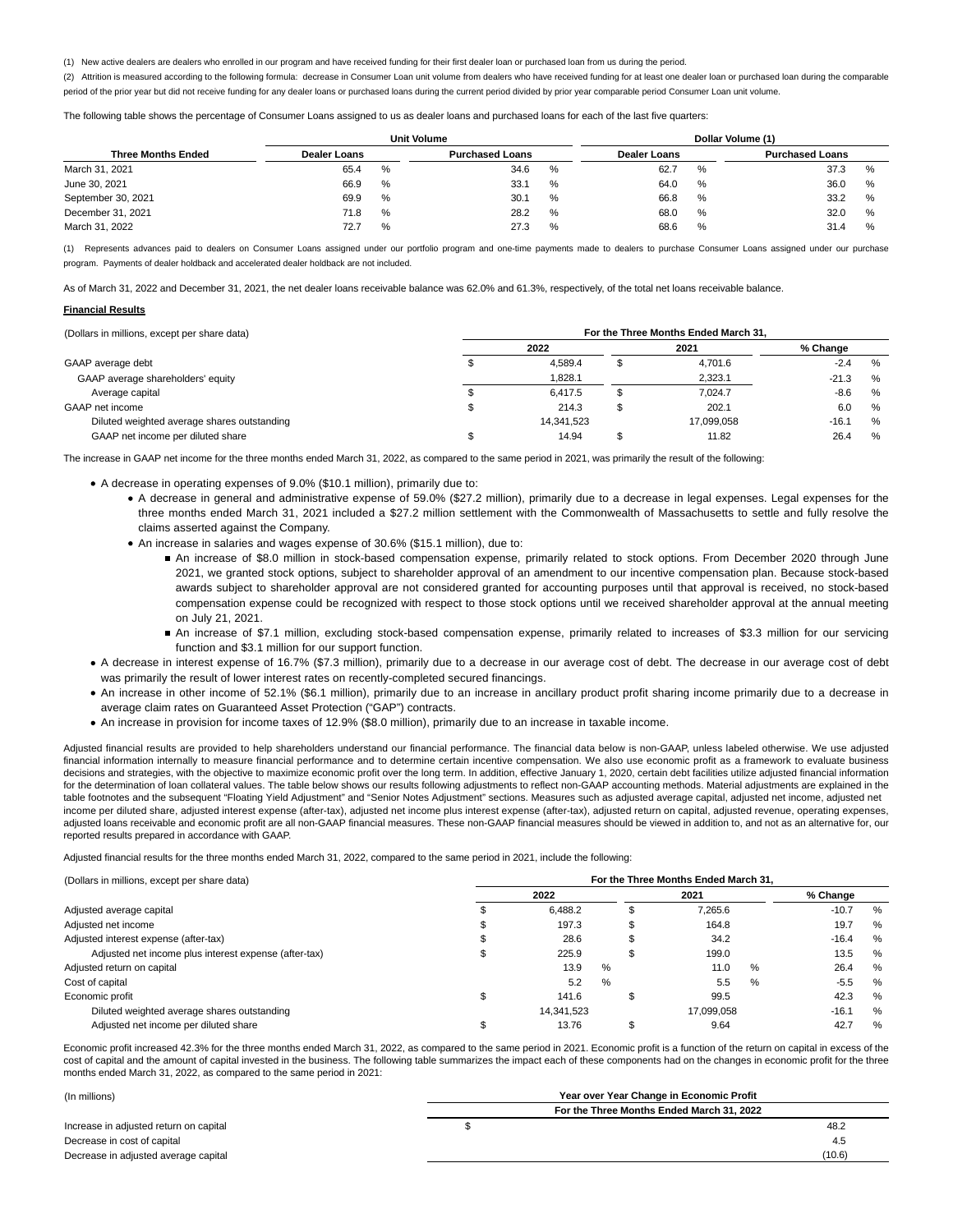(1) New active dealers are dealers who enrolled in our program and have received funding for their first dealer loan or purchased loan from us during the period.

(2) Attrition is measured according to the following formula: decrease in Consumer Loan unit volume from dealers who have received funding for at least one dealer loan or purchased loan during the comparable period of the prior year but did not receive funding for any dealer loans or purchased loans during the current period divided by prior year comparable period Consumer Loan unit volume.

The following table shows the percentage of Consumer Loans assigned to us as dealer loans and purchased loans for each of the last five quarters:

|                           |                     |      | <b>Unit Volume</b>     |               | Dollar Volume (1)   |      |                        |      |  |  |  |
|---------------------------|---------------------|------|------------------------|---------------|---------------------|------|------------------------|------|--|--|--|
| <b>Three Months Ended</b> | <b>Dealer Loans</b> |      | <b>Purchased Loans</b> |               | <b>Dealer Loans</b> |      | <b>Purchased Loans</b> |      |  |  |  |
| March 31, 2021            | 65.4                | $\%$ | 34.6                   | $\%$          | 62.7                | %    | 37.3                   | %    |  |  |  |
| June 30, 2021             | 66.9                | $\%$ | 33.1                   | %             | 64.0                | %    | 36.0                   | $\%$ |  |  |  |
| September 30, 2021        | 69.9                | %    | 30.1                   | %             | 66.8                | $\%$ | 33.2                   | $\%$ |  |  |  |
| December 31, 2021         | 71.8                | %    | 28.2                   | %             | 68.0                | %    | 32.0                   | %    |  |  |  |
| March 31, 2022            | 72.7                | $\%$ | 27.3                   | $\frac{0}{0}$ | 68.6                | %    | 31.4                   | %    |  |  |  |

(1) Represents advances paid to dealers on Consumer Loans assigned under our portfolio program and one-time payments made to dealers to purchase Consumer Loans assigned under our purchase program. Payments of dealer holdback and accelerated dealer holdback are not included.

As of March 31, 2022 and December 31, 2021, the net dealer loans receivable balance was 62.0% and 61.3%, respectively, of the total net loans receivable balance.

# **Financial Results**

| (Dollars in millions, except per share data) | For the Three Months Ended March 31. |            |   |            |          |      |  |  |  |  |  |
|----------------------------------------------|--------------------------------------|------------|---|------------|----------|------|--|--|--|--|--|
|                                              |                                      | 2022       |   | 2021       | % Change |      |  |  |  |  |  |
| GAAP average debt                            |                                      | 4.589.4    |   | 4,701.6    | $-2.4$   | $\%$ |  |  |  |  |  |
| GAAP average shareholders' equity            |                                      | 1,828.1    |   | 2,323.1    | $-21.3$  | %    |  |  |  |  |  |
| Average capital                              |                                      | 6.417.5    | а | 7.024.7    | $-8.6$   | %    |  |  |  |  |  |
| GAAP net income                              |                                      | 214.3      |   | 202.1      | 6.0      | $\%$ |  |  |  |  |  |
| Diluted weighted average shares outstanding  |                                      | 14.341.523 |   | 17.099.058 | $-16.1$  | $\%$ |  |  |  |  |  |
| GAAP net income per diluted share            |                                      | 14.94      |   | 11.82      | 26.4     | %    |  |  |  |  |  |

The increase in GAAP net income for the three months ended March 31, 2022, as compared to the same period in 2021, was primarily the result of the following:

A decrease in operating expenses of 9.0% (\$10.1 million), primarily due to:

- A decrease in general and administrative expense of 59.0% (\$27.2 million), primarily due to a decrease in legal expenses. Legal expenses for the three months ended March 31, 2021 included a \$27.2 million settlement with the Commonwealth of Massachusetts to settle and fully resolve the claims asserted against the Company.
- An increase in salaries and wages expense of 30.6% (\$15.1 million), due to:
	- An increase of \$8.0 million in stock-based compensation expense, primarily related to stock options. From December 2020 through June 2021, we granted stock options, subject to shareholder approval of an amendment to our incentive compensation plan. Because stock-based awards subject to shareholder approval are not considered granted for accounting purposes until that approval is received, no stock-based compensation expense could be recognized with respect to those stock options until we received shareholder approval at the annual meeting on July 21, 2021.
	- An increase of \$7.1 million, excluding stock-based compensation expense, primarily related to increases of \$3.3 million for our servicing function and \$3.1 million for our support function.
- A decrease in interest expense of 16.7% (\$7.3 million), primarily due to a decrease in our average cost of debt. The decrease in our average cost of debt was primarily the result of lower interest rates on recently-completed secured financings.
- An increase in other income of 52.1% (\$6.1 million), primarily due to an increase in ancillary product profit sharing income primarily due to a decrease in average claim rates on Guaranteed Asset Protection ("GAP") contracts.
- An increase in provision for income taxes of 12.9% (\$8.0 million), primarily due to an increase in taxable income.

Adjusted financial results are provided to help shareholders understand our financial performance. The financial data below is non-GAAP, unless labeled otherwise. We use adjusted financial information internally to measure financial performance and to determine certain incentive compensation. We also use economic profit as a framework to evaluate business decisions and strategies, with the objective to maximize economic profit over the long term. In addition, effective January 1, 2020, certain debt facilities utilize adjusted financial information for the determination of loan collateral values. The table below shows our results following adjustments to reflect non-GAAP accounting methods. Material adjustments are explained in the table footnotes and the subsequent "Floating Yield Adjustment" and "Senior Notes Adjustment" sections. Measures such as adjusted average capital, adjusted net income, adjusted net income per diluted share, adjusted interest expense (after-tax), adjusted net income plus interest expense (after-tax), adjusted return on capital, adjusted revenue, operating expenses, adjusted loans receivable and economic profit are all non-GAAP financial measures. These non-GAAP financial measures should be viewed in addition to, and not as an alternative for, our reported results prepared in accordance with GAAP.

Adjusted financial results for the three months ended March 31, 2022, compared to the same period in 2021, include the following:

| (Dollars in millions, except per share data)          | For the Three Months Ended March 31. |            |   |   |            |   |          |      |  |  |  |  |  |
|-------------------------------------------------------|--------------------------------------|------------|---|---|------------|---|----------|------|--|--|--|--|--|
|                                                       |                                      | 2022       |   |   | 2021       |   | % Change |      |  |  |  |  |  |
| Adjusted average capital                              |                                      | 6.488.2    |   | æ | 7.265.6    |   | $-10.7$  | %    |  |  |  |  |  |
| Adjusted net income                                   |                                      | 197.3      |   |   | 164.8      |   | 19.7     | %    |  |  |  |  |  |
| Adjusted interest expense (after-tax)                 |                                      | 28.6       |   | æ | 34.2       |   | $-16.4$  | %    |  |  |  |  |  |
| Adjusted net income plus interest expense (after-tax) |                                      | 225.9      |   |   | 199.0      |   | 13.5     | %    |  |  |  |  |  |
| Adjusted return on capital                            |                                      | 13.9       | % |   | 11.0       | % | 26.4     | %    |  |  |  |  |  |
| Cost of capital                                       |                                      | 5.2        | % |   | 5.5        | % | $-5.5$   | $\%$ |  |  |  |  |  |
| Economic profit                                       |                                      | 141.6      |   |   | 99.5       |   | 42.3     | %    |  |  |  |  |  |
| Diluted weighted average shares outstanding           |                                      | 14.341.523 |   |   | 17.099.058 |   | $-16.1$  | %    |  |  |  |  |  |
| Adjusted net income per diluted share                 |                                      | 13.76      |   |   | 9.64       |   | 42.7     | %    |  |  |  |  |  |

Economic profit increased 42.3% for the three months ended March 31, 2022, as compared to the same period in 2021. Economic profit is a function of the return on capital in excess of the cost of capital and the amount of capital invested in the business. The following table summarizes the impact each of these components had on the changes in economic profit for the three months ended March 31, 2022, as compared to the same period in 2021:

| (In millions)                          | Year over Year Change in Economic Profit  |        |
|----------------------------------------|-------------------------------------------|--------|
|                                        | For the Three Months Ended March 31, 2022 |        |
| Increase in adjusted return on capital |                                           | 48.2   |
| Decrease in cost of capital            |                                           | 4.5    |
| Decrease in adjusted average capital   |                                           | (10.6) |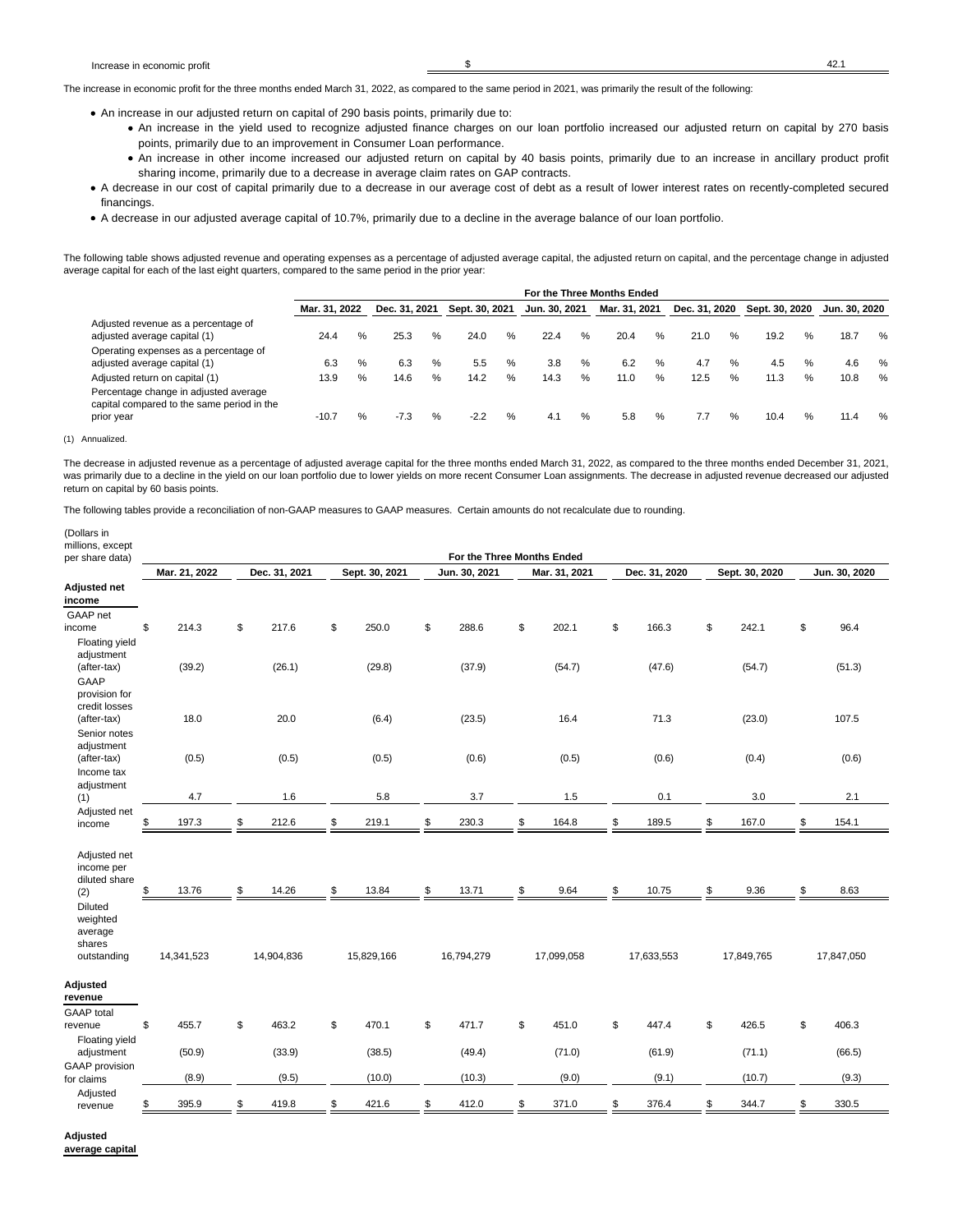The increase in economic profit for the three months ended March 31, 2022, as compared to the same period in 2021, was primarily the result of the following:

- An increase in our adjusted return on capital of 290 basis points, primarily due to:
	- An increase in the yield used to recognize adjusted finance charges on our loan portfolio increased our adjusted return on capital by 270 basis points, primarily due to an improvement in Consumer Loan performance.
	- An increase in other income increased our adjusted return on capital by 40 basis points, primarily due to an increase in ancillary product profit sharing income, primarily due to a decrease in average claim rates on GAP contracts.
- A decrease in our cost of capital primarily due to a decrease in our average cost of debt as a result of lower interest rates on recently-completed secured financings.
- A decrease in our adjusted average capital of 10.7%, primarily due to a decline in the average balance of our loan portfolio.

The following table shows adjusted revenue and operating expenses as a percentage of adjusted average capital, the adjusted return on capital, and the percentage change in adjusted average capital for each of the last eight quarters, compared to the same period in the prior year:

|                                                                                     |               |   |               |   |                |   |               |      | For the Three Months Ended |   |               |      |                |      |               |   |
|-------------------------------------------------------------------------------------|---------------|---|---------------|---|----------------|---|---------------|------|----------------------------|---|---------------|------|----------------|------|---------------|---|
|                                                                                     | Mar. 31. 2022 |   | Dec. 31, 2021 |   | Sept. 30, 2021 |   | Jun. 30. 2021 |      | Mar. 31, 2021              |   | Dec. 31, 2020 |      | Sept. 30, 2020 |      | Jun. 30. 2020 |   |
| Adjusted revenue as a percentage of                                                 |               |   |               |   |                |   |               |      |                            |   |               |      |                |      |               |   |
| adjusted average capital (1)                                                        | 24.4          | % | 25.3          | % | 24.0           | % | 22.4          | %    | 20.4                       | ℅ | 21.0          | $\%$ | 19.2           | $\%$ | 18.7          | % |
| Operating expenses as a percentage of                                               |               |   |               |   |                |   |               |      |                            |   |               |      |                |      |               |   |
| adjusted average capital (1)                                                        | 6.3           | % | 6.3           | % | 5.5            | % | 3.8           | %    | 6.2                        | % | 4.7           | %    | 4.5            | $\%$ | 4.6           | % |
| Adjusted return on capital (1)                                                      | 13.9          | % | 14.6          | % | 14.2           | % | 14.3          | %    | 11.0                       | % | 12.5          | %    | 11.3           | $\%$ | 10.8          | % |
| Percentage change in adjusted average<br>capital compared to the same period in the |               |   |               |   |                |   |               |      |                            |   |               |      |                |      |               |   |
| prior year                                                                          | $-10.7$       | % | $-7.3$        |   | $-2.2$         | % | 4.1           | $\%$ | 5.8                        | % | 7.7           | %    | 10.4           | %    | 11.4          | % |

(1) Annualized.

The decrease in adjusted revenue as a percentage of adjusted average capital for the three months ended March 31, 2022, as compared to the three months ended December 31, 2021, was primarily due to a decline in the yield on our loan portfolio due to lower yields on more recent Consumer Loan assignments. The decrease in adjusted revenue decreased our adjusted return on capital by 60 basis points.

The following tables provide a reconciliation of non-GAAP measures to GAAP measures. Certain amounts do not recalculate due to rounding.

| (Dollars in<br>millions, except<br>per share data) |               |               |                | For the Three Months Ended |               |               |                |               |
|----------------------------------------------------|---------------|---------------|----------------|----------------------------|---------------|---------------|----------------|---------------|
|                                                    | Mar. 21, 2022 | Dec. 31, 2021 | Sept. 30, 2021 | Jun. 30, 2021              | Mar. 31, 2021 | Dec. 31, 2020 | Sept. 30, 2020 | Jun. 30, 2020 |
| Adjusted net<br>income                             |               |               |                |                            |               |               |                |               |
| GAAP net                                           | \$<br>214.3   | \$<br>217.6   | \$<br>250.0    | \$<br>288.6                | \$<br>202.1   | \$<br>166.3   | \$<br>242.1    | \$<br>96.4    |
| income<br>Floating yield                           |               |               |                |                            |               |               |                |               |
| adjustment                                         |               |               |                |                            |               |               |                |               |
| (after-tax)                                        | (39.2)        | (26.1)        | (29.8)         | (37.9)                     | (54.7)        | (47.6)        | (54.7)         | (51.3)        |
| <b>GAAP</b>                                        |               |               |                |                            |               |               |                |               |
| provision for<br>credit losses                     |               |               |                |                            |               |               |                |               |
| (after-tax)                                        | 18.0          | 20.0          | (6.4)          | (23.5)                     | 16.4          | 71.3          | (23.0)         | 107.5         |
| Senior notes                                       |               |               |                |                            |               |               |                |               |
| adjustment                                         |               |               |                |                            |               |               |                |               |
| (after-tax)                                        | (0.5)         | (0.5)         | (0.5)          | (0.6)                      | (0.5)         | (0.6)         | (0.4)          | (0.6)         |
| Income tax                                         |               |               |                |                            |               |               |                |               |
| adjustment<br>(1)                                  | 4.7           | 1.6           | 5.8            | 3.7                        | 1.5           | 0.1           | 3.0            | 2.1           |
| Adjusted net                                       |               |               |                |                            |               |               |                |               |
| income                                             | \$<br>197.3   | \$<br>212.6   | \$<br>219.1    | \$<br>230.3                | \$<br>164.8   | \$<br>189.5   | \$<br>167.0    | \$<br>154.1   |
| Adjusted net<br>income per<br>diluted share<br>(2) | \$<br>13.76   | \$<br>14.26   | \$<br>13.84    | \$<br>13.71                | \$<br>9.64    | \$<br>10.75   | \$<br>9.36     | \$<br>8.63    |
| Diluted                                            |               |               |                |                            |               |               |                |               |
| weighted                                           |               |               |                |                            |               |               |                |               |
| average<br>shares                                  |               |               |                |                            |               |               |                |               |
| outstanding                                        | 14,341,523    | 14,904,836    | 15,829,166     | 16,794,279                 | 17,099,058    | 17,633,553    | 17,849,765     | 17,847,050    |
|                                                    |               |               |                |                            |               |               |                |               |
| Adjusted                                           |               |               |                |                            |               |               |                |               |
| revenue                                            |               |               |                |                            |               |               |                |               |
| <b>GAAP</b> total                                  | \$<br>455.7   | \$<br>463.2   | \$<br>470.1    | \$<br>471.7                | \$<br>451.0   | \$<br>447.4   | \$<br>426.5    | \$<br>406.3   |
| revenue<br>Floating yield                          |               |               |                |                            |               |               |                |               |
| adjustment                                         | (50.9)        | (33.9)        | (38.5)         | (49.4)                     | (71.0)        | (61.9)        | (71.1)         | (66.5)        |
| <b>GAAP</b> provision                              |               |               |                |                            |               |               |                |               |
| for claims                                         | (8.9)         | (9.5)         | (10.0)         | (10.3)                     | (9.0)         | (9.1)         | (10.7)         | (9.3)         |
| Adjusted                                           | \$<br>395.9   | \$<br>419.8   | \$<br>421.6    | \$<br>412.0                | \$<br>371.0   | \$<br>376.4   | \$<br>344.7    | \$<br>330.5   |
| revenue                                            |               |               |                |                            |               |               |                |               |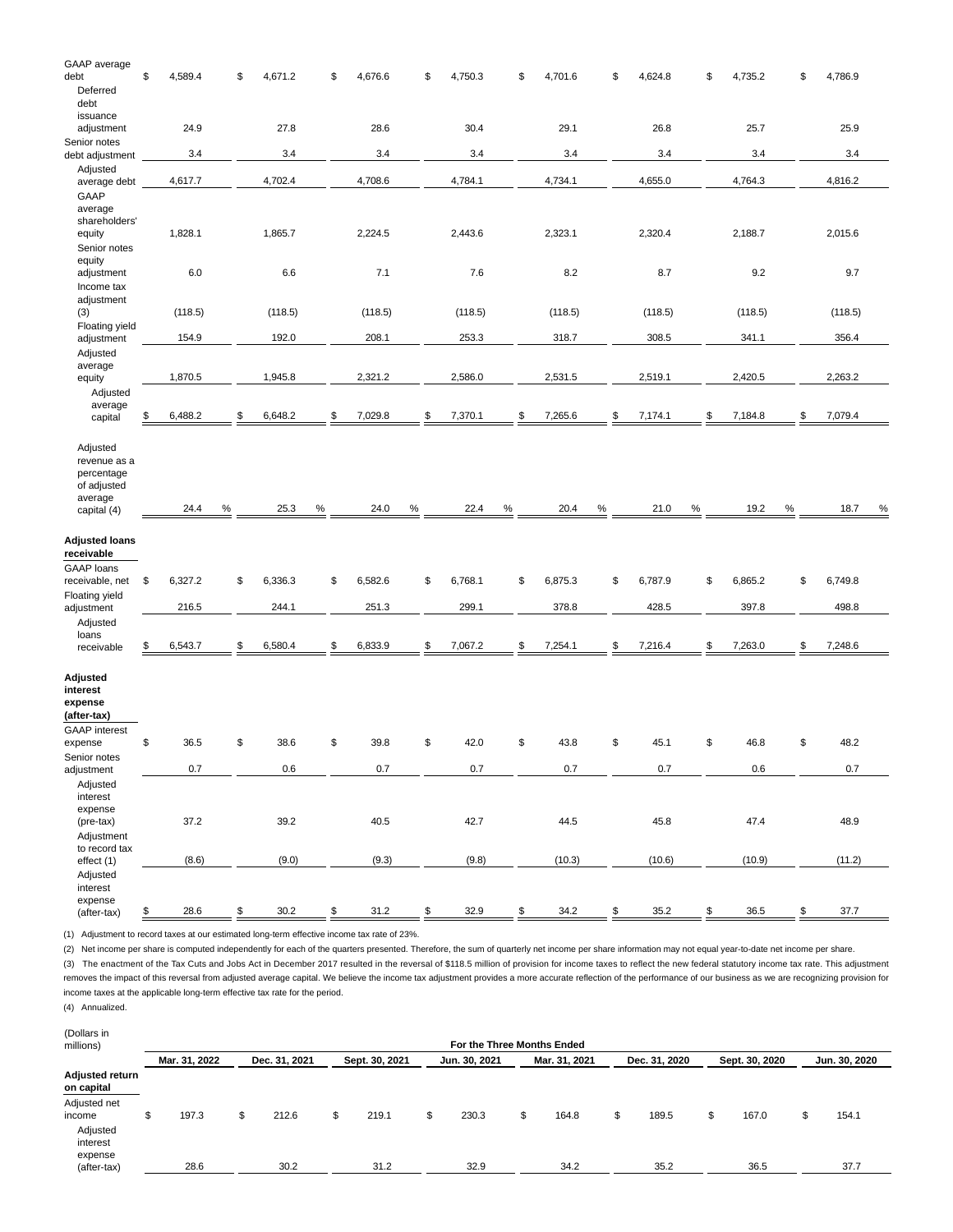| GAAP average             |               |      |         |      |               |      |               |      |               |      |     |         |      |               |      |               |               |
|--------------------------|---------------|------|---------|------|---------------|------|---------------|------|---------------|------|-----|---------|------|---------------|------|---------------|---------------|
| debt                     | \$<br>4,589.4 | S    | 4,671.2 |      | \$<br>4,676.6 |      | \$<br>4,750.3 |      | \$<br>4,701.6 |      | \$  | 4,624.8 |      | \$<br>4,735.2 |      | \$<br>4,786.9 |               |
| Deferred                 |               |      |         |      |               |      |               |      |               |      |     |         |      |               |      |               |               |
| debt                     |               |      |         |      |               |      |               |      |               |      |     |         |      |               |      |               |               |
| issuance                 |               |      |         |      |               |      |               |      |               |      |     |         |      |               |      |               |               |
| adjustment               | 24.9          |      | 27.8    |      | 28.6          |      | 30.4          |      | 29.1          |      |     | 26.8    |      | 25.7          |      | 25.9          |               |
| Senior notes             | 3.4           |      | 3.4     |      | 3.4           |      | 3.4           |      | 3.4           |      |     | 3.4     |      | 3.4           |      | 3.4           |               |
| debt adjustment          |               |      |         |      |               |      |               |      |               |      |     |         |      |               |      |               |               |
| Adjusted                 | 4,617.7       |      | 4,702.4 |      | 4,708.6       |      | 4,784.1       |      | 4,734.1       |      |     | 4,655.0 |      | 4,764.3       |      | 4,816.2       |               |
| average debt<br>GAAP     |               |      |         |      |               |      |               |      |               |      |     |         |      |               |      |               |               |
|                          |               |      |         |      |               |      |               |      |               |      |     |         |      |               |      |               |               |
| average<br>shareholders' |               |      |         |      |               |      |               |      |               |      |     |         |      |               |      |               |               |
| equity                   | 1,828.1       |      | 1,865.7 |      | 2,224.5       |      | 2,443.6       |      | 2,323.1       |      |     | 2,320.4 |      | 2,188.7       |      | 2,015.6       |               |
| Senior notes             |               |      |         |      |               |      |               |      |               |      |     |         |      |               |      |               |               |
| equity                   |               |      |         |      |               |      |               |      |               |      |     |         |      |               |      |               |               |
| adjustment               | 6.0           |      | 6.6     |      | 7.1           |      | 7.6           |      | 8.2           |      |     | 8.7     |      | 9.2           |      | 9.7           |               |
| Income tax               |               |      |         |      |               |      |               |      |               |      |     |         |      |               |      |               |               |
| adjustment               |               |      |         |      |               |      |               |      |               |      |     |         |      |               |      |               |               |
| (3)                      | (118.5)       |      | (118.5) |      | (118.5)       |      | (118.5)       |      | (118.5)       |      |     | (118.5) |      | (118.5)       |      | (118.5)       |               |
| Floating yield           |               |      |         |      |               |      |               |      |               |      |     |         |      |               |      |               |               |
| adjustment               | 154.9         |      | 192.0   |      | 208.1         |      | 253.3         |      | 318.7         |      |     | 308.5   |      | 341.1         |      | 356.4         |               |
| Adjusted                 |               |      |         |      |               |      |               |      |               |      |     |         |      |               |      |               |               |
| average                  |               |      |         |      |               |      |               |      |               |      |     |         |      |               |      |               |               |
| equity                   | 1,870.5       |      | 1,945.8 |      | 2,321.2       |      | 2,586.0       |      | 2,531.5       |      |     | 2,519.1 |      | 2,420.5       |      | 2,263.2       |               |
| Adjusted                 |               |      |         |      |               |      |               |      |               |      |     |         |      |               |      |               |               |
| average                  |               |      |         |      |               |      |               |      |               |      |     |         |      |               |      |               |               |
| capital                  | \$<br>6,488.2 | \$   | 6,648.2 |      | \$<br>7,029.8 |      | \$<br>7,370.1 |      | \$<br>7,265.6 |      | \$. | 7,174.1 |      | \$<br>7,184.8 |      | \$<br>7,079.4 |               |
|                          |               |      |         |      |               |      |               |      |               |      |     |         |      |               |      |               |               |
| Adjusted                 |               |      |         |      |               |      |               |      |               |      |     |         |      |               |      |               |               |
| revenue as a             |               |      |         |      |               |      |               |      |               |      |     |         |      |               |      |               |               |
| percentage               |               |      |         |      |               |      |               |      |               |      |     |         |      |               |      |               |               |
|                          |               |      |         |      |               |      |               |      |               |      |     |         |      |               |      |               |               |
| of adjusted              |               |      |         |      |               |      |               |      |               |      |     |         |      |               |      |               |               |
| average                  |               |      |         |      |               |      |               |      |               |      |     |         |      |               |      |               |               |
| capital (4)              | 24.4          | $\%$ | 25.3    | $\%$ | 24.0          | $\%$ | 22.4          | $\%$ | 20.4          | $\%$ |     | 21.0    | $\%$ | 19.2          | $\%$ | 18.7          | $\frac{9}{6}$ |
|                          |               |      |         |      |               |      |               |      |               |      |     |         |      |               |      |               |               |
| <b>Adjusted loans</b>    |               |      |         |      |               |      |               |      |               |      |     |         |      |               |      |               |               |
| receivable               |               |      |         |      |               |      |               |      |               |      |     |         |      |               |      |               |               |
| <b>GAAP</b> loans        |               |      |         |      |               |      |               |      |               |      |     |         |      |               |      |               |               |
| receivable, net          | \$<br>6,327.2 | \$   | 6,336.3 |      | \$<br>6,582.6 |      | \$<br>6,768.1 |      | \$<br>6,875.3 |      | \$  | 6,787.9 |      | \$<br>6,865.2 |      | \$<br>6,749.8 |               |
| Floating yield           |               |      |         |      |               |      |               |      |               |      |     |         |      |               |      |               |               |
| adjustment               | 216.5         |      | 244.1   |      | 251.3         |      | 299.1         |      | 378.8         |      |     | 428.5   |      | 397.8         |      | 498.8         |               |
| Adjusted                 |               |      |         |      |               |      |               |      |               |      |     |         |      |               |      |               |               |
| loans                    |               | \$.  |         |      |               |      |               |      |               |      | \$  |         |      |               |      |               |               |
| receivable               | \$<br>6,543.7 |      | 6,580.4 |      | \$<br>6,833.9 |      | \$<br>7,067.2 |      | \$<br>7,254.1 |      |     | 7,216.4 |      | \$<br>7,263.0 |      | \$<br>7,248.6 |               |
|                          |               |      |         |      |               |      |               |      |               |      |     |         |      |               |      |               |               |
| Adjusted                 |               |      |         |      |               |      |               |      |               |      |     |         |      |               |      |               |               |
| interest                 |               |      |         |      |               |      |               |      |               |      |     |         |      |               |      |               |               |
| expense                  |               |      |         |      |               |      |               |      |               |      |     |         |      |               |      |               |               |
| (after-tax)              |               |      |         |      |               |      |               |      |               |      |     |         |      |               |      |               |               |
| <b>GAAP</b> interest     |               |      |         |      |               |      |               |      |               |      |     |         |      |               |      |               |               |
| expense                  | \$<br>36.5    | \$   | 38.6    |      | \$<br>39.8    |      | \$<br>42.0    |      | \$<br>43.8    |      | \$  | 45.1    |      | \$<br>46.8    |      | \$<br>48.2    |               |
| Senior notes             |               |      |         |      |               |      |               |      |               |      |     |         |      |               |      |               |               |
| adjustment               | 0.7           |      | 0.6     |      | 0.7           |      | $0.7\,$       |      | 0.7           |      |     | 0.7     |      | $0.6\,$       |      | $0.7\,$       |               |
| Adjusted                 |               |      |         |      |               |      |               |      |               |      |     |         |      |               |      |               |               |
| interest                 |               |      |         |      |               |      |               |      |               |      |     |         |      |               |      |               |               |
| expense                  |               |      |         |      |               |      |               |      |               |      |     |         |      |               |      |               |               |
| (pre-tax)                | 37.2          |      | 39.2    |      | 40.5          |      | 42.7          |      | 44.5          |      |     | 45.8    |      | 47.4          |      | 48.9          |               |
| Adjustment               |               |      |         |      |               |      |               |      |               |      |     |         |      |               |      |               |               |
| to record tax            | (8.6)         |      | (9.0)   |      | (9.3)         |      | (9.8)         |      | (10.3)        |      |     | (10.6)  |      | (10.9)        |      | (11.2)        |               |
| effect (1)               |               |      |         |      |               |      |               |      |               |      |     |         |      |               |      |               |               |
| Adjusted<br>interest     |               |      |         |      |               |      |               |      |               |      |     |         |      |               |      |               |               |
| expense<br>(after-tax)   | \$<br>28.6    | \$   | 30.2    |      | \$<br>31.2    |      | \$<br>32.9    |      | \$<br>34.2    |      | \$  | 35.2    |      | \$<br>36.5    |      | \$<br>37.7    |               |

(1) Adjustment to record taxes at our estimated long-term effective income tax rate of 23%.

(2) Net income per share is computed independently for each of the quarters presented. Therefore, the sum of quarterly net income per share information may not equal year-to-date net income per share.

(3) The enactment of the Tax Cuts and Jobs Act in December 2017 resulted in the reversal of \$118.5 million of provision for income taxes to reflect the new federal statutory income tax rate. This adjustment removes the impact of this reversal from adjusted average capital. We believe the income tax adjustment provides a more accurate reflection of the performance of our business as we are recognizing provision for income taxes at the applicable long-term effective tax rate for the period.

(4) Annualized.

| (Dollars in<br>millions)      |               |               |                | For the Three Months Ended |               |   |               |                |               |
|-------------------------------|---------------|---------------|----------------|----------------------------|---------------|---|---------------|----------------|---------------|
|                               | Mar. 31, 2022 | Dec. 31, 2021 | Sept. 30, 2021 | Jun. 30, 2021              | Mar. 31, 2021 |   | Dec. 31, 2020 | Sept. 30, 2020 | Jun. 30, 2020 |
| Adjusted return<br>on capital |               |               |                |                            |               |   |               |                |               |
| Adjusted net                  |               |               |                |                            |               |   |               |                |               |
| income                        | 197.3         | \$<br>212.6   | \$<br>219.1    | \$<br>230.3                | 164.8         | S | 189.5         | \$<br>167.0    | \$<br>154.1   |
| Adjusted                      |               |               |                |                            |               |   |               |                |               |
| interest                      |               |               |                |                            |               |   |               |                |               |
| expense                       |               |               |                |                            |               |   |               |                |               |
| (after-tax)                   | 28.6          | 30.2          | 31.2           | 32.9                       | 34.2          |   | 35.2          | 36.5           | 37.7          |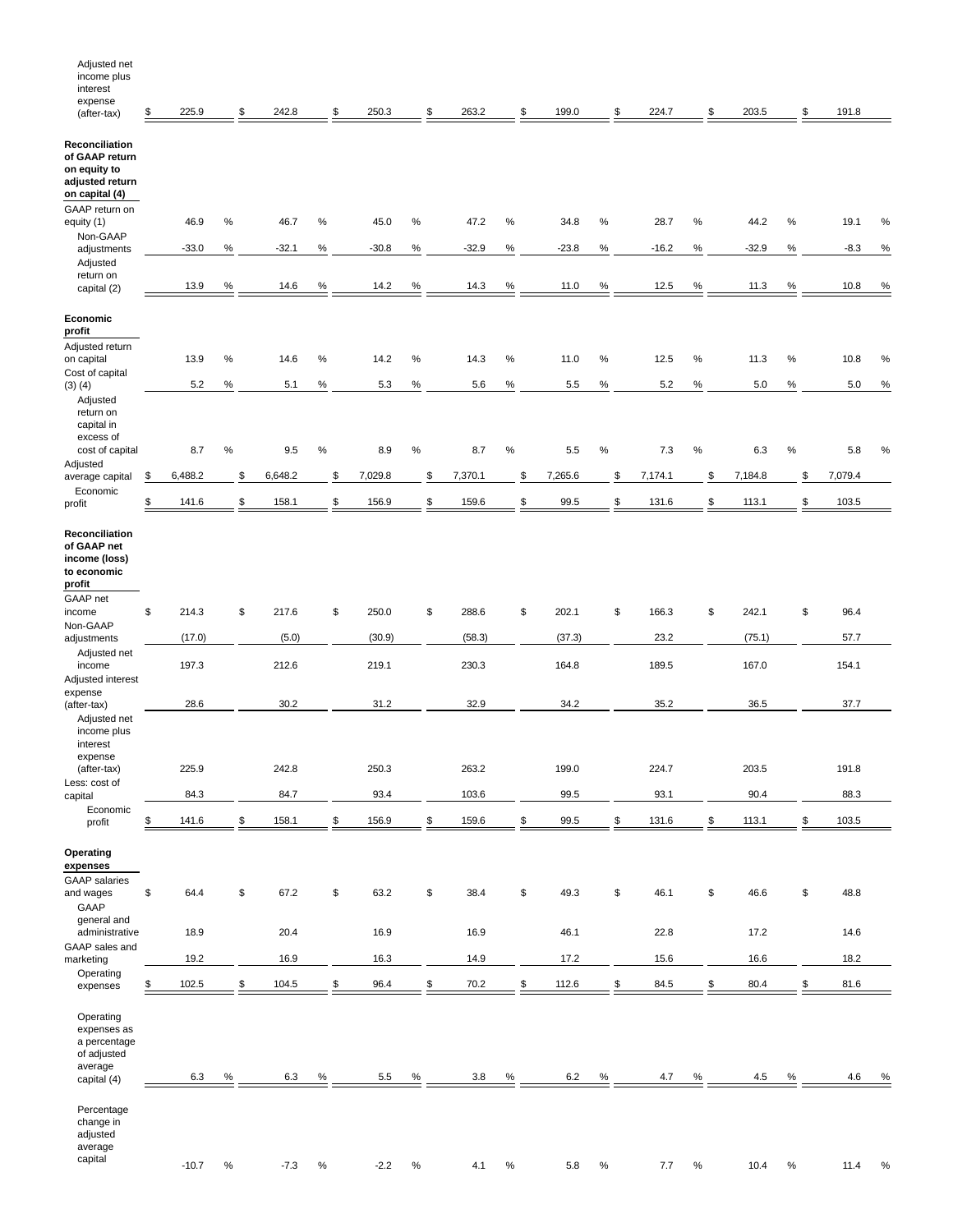| Adjusted net<br>income plus<br>interest<br>expense                                    |               |      |         |      |         |      |         |      |         |      |         |      |         |      |         |      |
|---------------------------------------------------------------------------------------|---------------|------|---------|------|---------|------|---------|------|---------|------|---------|------|---------|------|---------|------|
| (after-tax)                                                                           | \$<br>225.9   | \$   | 242.8   | \$   | 250.3   | \$   | 263.2   | \$   | 199.0   | \$   | 224.7   | \$   | 203.5   | \$   | 191.8   |      |
| Reconciliation<br>of GAAP return<br>on equity to<br>adjusted return<br>on capital (4) |               |      |         |      |         |      |         |      |         |      |         |      |         |      |         |      |
| GAAP return on<br>equity (1)                                                          | 46.9          | $\%$ | 46.7    | $\%$ | 45.0    | $\%$ | 47.2    | $\%$ | 34.8    | $\%$ | 28.7    | $\%$ | 44.2    | $\%$ | 19.1    | %    |
| Non-GAAP<br>adjustments                                                               | $-33.0$       | $\%$ | $-32.1$ | $\%$ | $-30.8$ | $\%$ | $-32.9$ | $\%$ | $-23.8$ | $\%$ | $-16.2$ | $\%$ | $-32.9$ | $\%$ | $-8.3$  | $\%$ |
| Adjusted                                                                              |               |      |         |      |         |      |         |      |         |      |         |      |         |      |         |      |
| return on<br>capital (2)                                                              | 13.9          | $\%$ | 14.6    | $\%$ | 14.2    | ℅    | 14.3    | %    | 11.0    | %    | 12.5    | %    | 11.3    | $\%$ | 10.8    | $\%$ |
| Economic                                                                              |               |      |         |      |         |      |         |      |         |      |         |      |         |      |         |      |
| profit                                                                                |               |      |         |      |         |      |         |      |         |      |         |      |         |      |         |      |
| Adjusted return<br>on capital<br>Cost of capital                                      | 13.9          | $\%$ | 14.6    | $\%$ | 14.2    | $\%$ | 14.3    | %    | 11.0    | $\%$ | 12.5    | $\%$ | 11.3    | $\%$ | 10.8    | %    |
| $(3)$ $(4)$                                                                           | 5.2           | %    | 5.1     | $\%$ | 5.3     | $\%$ | 5.6     | $\%$ | 5.5     | ℅    | 5.2     | $\%$ | 5.0     | $\%$ | 5.0     | $\%$ |
| Adjusted<br>return on<br>capital in<br>excess of                                      |               |      |         |      |         |      |         |      |         |      |         |      |         |      |         |      |
| cost of capital<br>Adjusted                                                           | 8.7           | $\%$ | 9.5     | $\%$ | 8.9     | $\%$ | 8.7     | $\%$ | 5.5     | ℅    | 7.3     | $\%$ | 6.3     | $\%$ | 5.8     | %    |
| average capital<br>Economic                                                           | \$<br>6,488.2 | \$   | 6,648.2 | \$   | 7,029.8 | \$   | 7,370.1 | \$   | 7,265.6 | \$   | 7,174.1 | \$   | 7,184.8 | \$   | 7,079.4 |      |
| profit                                                                                | \$<br>141.6   | \$   | 158.1   | \$   | 156.9   | \$   | 159.6   | \$   | 99.5    | \$   | 131.6   | \$   | 113.1   | \$   | 103.5   |      |
| Reconciliation<br>of GAAP net<br>income (loss)<br>to economic<br>profit<br>GAAP net   |               |      |         |      |         |      |         |      |         |      |         |      |         |      |         |      |
| income                                                                                | \$<br>214.3   | \$   | 217.6   | \$   | 250.0   | \$   | 288.6   | \$   | 202.1   | \$   | 166.3   | \$   | 242.1   | \$   | 96.4    |      |
| Non-GAAP<br>adjustments                                                               | (17.0)        |      | (5.0)   |      | (30.9)  |      | (58.3)  |      | (37.3)  |      | 23.2    |      | (75.1)  |      | 57.7    |      |
| Adjusted net<br>income<br>Adjusted interest                                           | 197.3         |      | 212.6   |      | 219.1   |      | 230.3   |      | 164.8   |      | 189.5   |      | 167.0   |      | 154.1   |      |
| expense<br>(after-tax)                                                                | 28.6          |      | 30.2    |      | 31.2    |      | 32.9    |      | 34.2    |      | 35.2    |      | 36.5    |      | 37.7    |      |
| Adjusted net<br>income plus<br>interest<br>expense                                    |               |      |         |      |         |      |         |      |         |      |         |      |         |      |         |      |
| (after-tax)                                                                           | 225.9         |      | 242.8   |      | 250.3   |      | 263.2   |      | 199.0   |      | 224.7   |      | 203.5   |      | 191.8   |      |
| Less: cost of<br>capital                                                              | 84.3          |      | 84.7    |      | 93.4    |      | 103.6   |      | 99.5    |      | 93.1    |      | 90.4    |      | 88.3    |      |
| Economic<br>profit                                                                    | \$<br>141.6   | \$   | 158.1   | \$   | 156.9   | \$   | 159.6   | \$   | 99.5    | \$   | 131.6   | \$   | 113.1   | \$   | 103.5   |      |
| Operating<br>expenses<br><b>GAAP</b> salaries                                         |               |      |         |      |         |      |         |      |         |      |         |      |         |      |         |      |
| and wages<br>GAAP<br>general and                                                      | \$<br>64.4    | \$   | 67.2    | \$   | 63.2    | \$   | 38.4    | \$   | 49.3    | \$   | 46.1    | \$   | 46.6    | \$   | 48.8    |      |
| administrative                                                                        | 18.9          |      | 20.4    |      | 16.9    |      | 16.9    |      | 46.1    |      | 22.8    |      | 17.2    |      | 14.6    |      |
| GAAP sales and<br>marketing                                                           | 19.2          |      | 16.9    |      | 16.3    |      | 14.9    |      | 17.2    |      | 15.6    |      | 16.6    |      | 18.2    |      |
| Operating<br>expenses                                                                 | \$<br>102.5   | \$   | 104.5   | \$   | 96.4    | \$   | 70.2    | \$   | 112.6   | \$   | 84.5    | \$   | 80.4    | \$   | 81.6    |      |
| Operating<br>expenses as<br>a percentage<br>of adjusted<br>average                    |               |      |         |      |         |      |         |      |         |      |         |      |         |      |         |      |
| capital (4)                                                                           | 6.3           | %    | 6.3     | $\%$ | 5.5     | $\%$ | 3.8     | $\%$ | 6.2     | $\%$ | 4.7     | $\%$ | 4.5     | $\%$ | 4.6     | %    |
| Percentage<br>change in<br>adjusted<br>average<br>capital                             |               |      |         |      |         |      |         |      |         |      |         |      |         |      |         |      |
|                                                                                       | $-10.7$       | $\%$ | $-7.3$  | $\%$ | $-2.2$  | $\%$ | 4.1     | $\%$ | $5.8\,$ | $\%$ | 7.7     | $\%$ | 10.4    | $\%$ | 11.4    | $\%$ |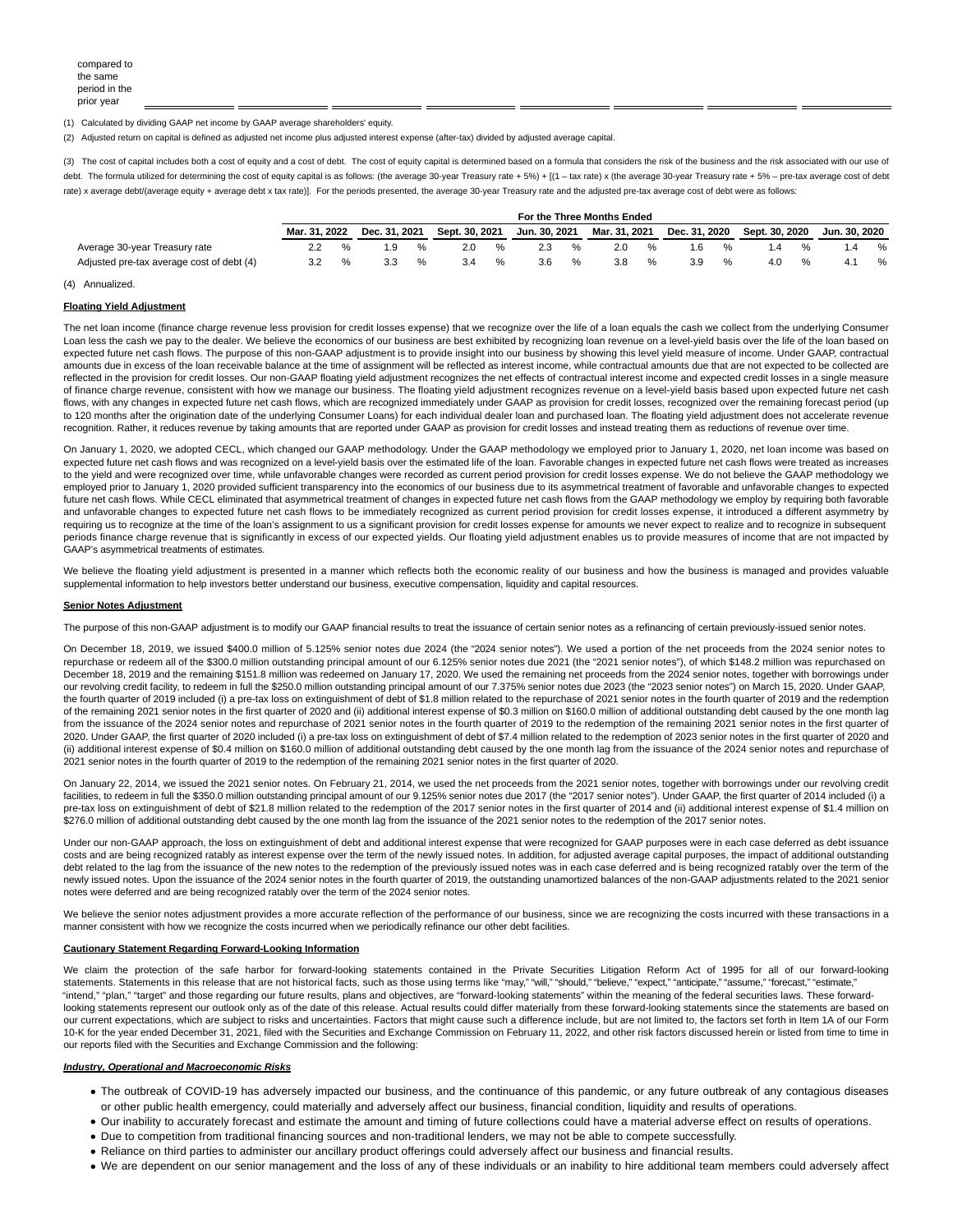(1) Calculated by dividing GAAP net income by GAAP average shareholders' equity.

(2) Adjusted return on capital is defined as adjusted net income plus adjusted interest expense (after-tax) divided by adjusted average capital.

(3) The cost of capital includes both a cost of equity and a cost of debt. The cost of equity capital is determined based on a formula that considers the risk of the business and the risk associated with our use of debt. The formula utilized for determining the cost of equity capital is as follows: (the average 30-year Treasury rate + 5%) + [(1 - tax rate) x (the average 30-year Treasury rate + 5% - pre-tax average cost of debt rate) x average debt/(average equity + average debt x tax rate)]. For the periods presented, the average 30-year Treasury rate and the adjusted pre-tax average cost of debt were as follows:

|                                           | For the Three Months Ended |  |               |   |                |               |               |      |               |   |               |   |                |   |               |   |
|-------------------------------------------|----------------------------|--|---------------|---|----------------|---------------|---------------|------|---------------|---|---------------|---|----------------|---|---------------|---|
|                                           | Mar. 31. 2022              |  | Dec. 31, 2021 |   | Sept. 30, 2021 |               | Jun. 30. 2021 |      | Mar. 31, 2021 |   | Dec. 31, 2020 |   | Sept. 30, 2020 |   | Jun. 30. 2020 |   |
| Average 30-year Treasury rate             |                            |  | 1.9           | % | 2.0            | $\frac{1}{2}$ | 2.3           | $\%$ | 2.0           | % | 1.6           | % | ، 4            | % |               | % |
| Adjusted pre-tax average cost of debt (4) |                            |  | 3.3           | % | 3.4            | %             | 3.6           | %    | 3.8           |   | 3.9           | % | 4.0            | % |               | % |

#### (4) Annualized.

#### **Floating Yield Adjustment**

The net loan income (finance charge revenue less provision for credit losses expense) that we recognize over the life of a loan equals the cash we collect from the underlying Consumer Loan less the cash we pay to the dealer. We believe the economics of our business are best exhibited by recognizing loan revenue on a level-yield basis over the life of the loan based on expected future net cash flows. The purpose of this non-GAAP adjustment is to provide insight into our business by showing this level yield measure of income. Under GAAP, contractual amounts due in excess of the loan receivable balance at the time of assignment will be reflected as interest income, while contractual amounts due that are not expected to be collected are reflected in the provision for credit losses. Our non-GAAP floating yield adjustment recognizes the net effects of contractual interest income and expected credit losses in a single measure of finance charge revenue, consistent with how we manage our business. The floating yield adjustment recognizes revenue on a level-yield basis based upon expected future net cash flows, with any changes in expected future net cash flows, which are recognized immediately under GAAP as provision for credit losses, recognized over the remaining forecast period (up to 120 months after the origination date of the underlying Consumer Loans) for each individual dealer loan and purchased loan. The floating yield adjustment does not accelerate revenue recognition. Rather, it reduces revenue by taking amounts that are reported under GAAP as provision for credit losses and instead treating them as reductions of revenue over time.

On January 1, 2020, we adopted CECL, which changed our GAAP methodology. Under the GAAP methodology we employed prior to January 1, 2020, net loan income was based on expected future net cash flows and was recognized on a level-yield basis over the estimated life of the loan. Favorable changes in expected future net cash flows were treated as increases to the yield and were recognized over time, while unfavorable changes were recorded as current period provision for credit losses expense. We do not believe the GAAP methodology we employed prior to January 1, 2020 provided sufficient transparency into the economics of our business due to its asymmetrical treatment of favorable and unfavorable changes to expected future net cash flows. While CECL eliminated that asymmetrical treatment of changes in expected future net cash flows from the GAAP methodology we employ by requiring both favorable and unfavorable changes to expected future net cash flows to be immediately recognized as current period provision for credit losses expense, it introduced a different asymmetry by requiring us to recognize at the time of the loan's assignment to us a significant provision for credit losses expense for amounts we never expect to realize and to recognize in subsequent periods finance charge revenue that is significantly in excess of our expected yields. Our floating yield adjustment enables us to provide measures of income that are not impacted by GAAP's asymmetrical treatments of estimates.

We believe the floating yield adjustment is presented in a manner which reflects both the economic reality of our business and how the business is managed and provides valuable supplemental information to help investors better understand our business, executive compensation, liquidity and capital resources.

#### **Senior Notes Adjustment**

The purpose of this non-GAAP adjustment is to modify our GAAP financial results to treat the issuance of certain senior notes as a refinancing of certain previously-issued senior notes.

On December 18, 2019, we issued \$400.0 million of 5.125% senior notes due 2024 (the "2024 senior notes"). We used a portion of the net proceeds from the 2024 senior notes to repurchase or redeem all of the \$300.0 million outstanding principal amount of our 6.125% senior notes due 2021 (the "2021 senior notes"), of which \$148.2 million was repurchased on December 18, 2019 and the remaining \$151.8 million was redeemed on January 17, 2020. We used the remaining net proceeds from the 2024 senior notes, together with borrowings under our revolving credit facility, to redeem in full the \$250.0 million outstanding principal amount of our 7.375% senior notes due 2023 (the "2023 senior notes") on March 15, 2020. Under GAAP, the fourth quarter of 2019 included (i) a pre-tax loss on extinguishment of debt of \$1.8 million related to the repurchase of 2021 senior notes in the fourth quarter of 2019 and the redemption of the remaining 2021 senior notes in the first quarter of 2020 and (ii) additional interest expense of \$0.3 million on \$160.0 million of additional outstanding debt caused by the one month lag from the issuance of the 2024 senior notes and repurchase of 2021 senior notes in the fourth quarter of 2019 to the redemption of the remaining 2021 senior notes in the first quarter of 2020. Under GAAP, the first quarter of 2020 included (i) a pre-tax loss on extinguishment of debt of \$7.4 million related to the redemption of 2023 senior notes in the first quarter of 2020 and (ii) additional interest expense of \$0.4 million on \$160.0 million of additional outstanding debt caused by the one month lag from the issuance of the 2024 senior notes and repurchase of 2021 senior notes in the fourth quarter of 2019 to the redemption of the remaining 2021 senior notes in the first quarter of 2020.

On January 22, 2014, we issued the 2021 senior notes. On February 21, 2014, we used the net proceeds from the 2021 senior notes, together with borrowings under our revolving credit facilities, to redeem in full the \$350.0 million outstanding principal amount of our 9.125% senior notes due 2017 (the "2017 senior notes"). Under GAAP, the first quarter of 2014 included (i) a pre-tax loss on extinguishment of debt of \$21.8 million related to the redemption of the 2017 senior notes in the first quarter of 2014 and (ii) additional interest expense of \$1.4 million on \$276.0 million of additional outstanding debt caused by the one month lag from the issuance of the 2021 senior notes to the redemption of the 2017 senior notes.

Under our non-GAAP approach, the loss on extinguishment of debt and additional interest expense that were recognized for GAAP purposes were in each case deferred as debt issuance costs and are being recognized ratably as interest expense over the term of the newly issued notes. In addition, for adjusted average capital purposes, the impact of additional outstanding debt related to the lag from the issuance of the new notes to the redemption of the previously issued notes was in each case deferred and is being recognized ratably over the term of the newly issued notes. Upon the issuance of the 2024 senior notes in the fourth quarter of 2019, the outstanding unamortized balances of the non-GAAP adjustments related to the 2021 senior notes were deferred and are being recognized ratably over the term of the 2024 senior notes.

We believe the senior notes adjustment provides a more accurate reflection of the performance of our business, since we are recognizing the costs incurred with these transactions in a manner consistent with how we recognize the costs incurred when we periodically refinance our other debt facilities.

## **Cautionary Statement Regarding Forward-Looking Information**

We claim the protection of the safe harbor for forward-looking statements contained in the Private Securities Litigation Reform Act of 1995 for all of our forward-looking statements. Statements in this release that are not historical facts, such as those using terms like "may," "will," "should," "believe," "expect," "anticipate," "assume," "forecast," "estimate," "intend," "plan," "target" and those regarding our future results, plans and objectives, are "forward-looking statements" within the meaning of the federal securities laws. These forwardlooking statements represent our outlook only as of the date of this release. Actual results could differ materially from these forward-looking statements since the statements are based on our current expectations, which are subject to risks and uncertainties. Factors that might cause such a difference include, but are not limited to, the factors set forth in Item 1A of our Form 10-K for the year ended December 31, 2021, filed with the Securities and Exchange Commission on February 11, 2022, and other risk factors discussed herein or listed from time to time in our reports filed with the Securities and Exchange Commission and the following:

## **Industry, Operational and Macroeconomic Risks**

- The outbreak of COVID-19 has adversely impacted our business, and the continuance of this pandemic, or any future outbreak of any contagious diseases or other public health emergency, could materially and adversely affect our business, financial condition, liquidity and results of operations.
- Our inability to accurately forecast and estimate the amount and timing of future collections could have a material adverse effect on results of operations.
- Due to competition from traditional financing sources and non-traditional lenders, we may not be able to compete successfully.
- Reliance on third parties to administer our ancillary product offerings could adversely affect our business and financial results.
- We are dependent on our senior management and the loss of any of these individuals or an inability to hire additional team members could adversely affect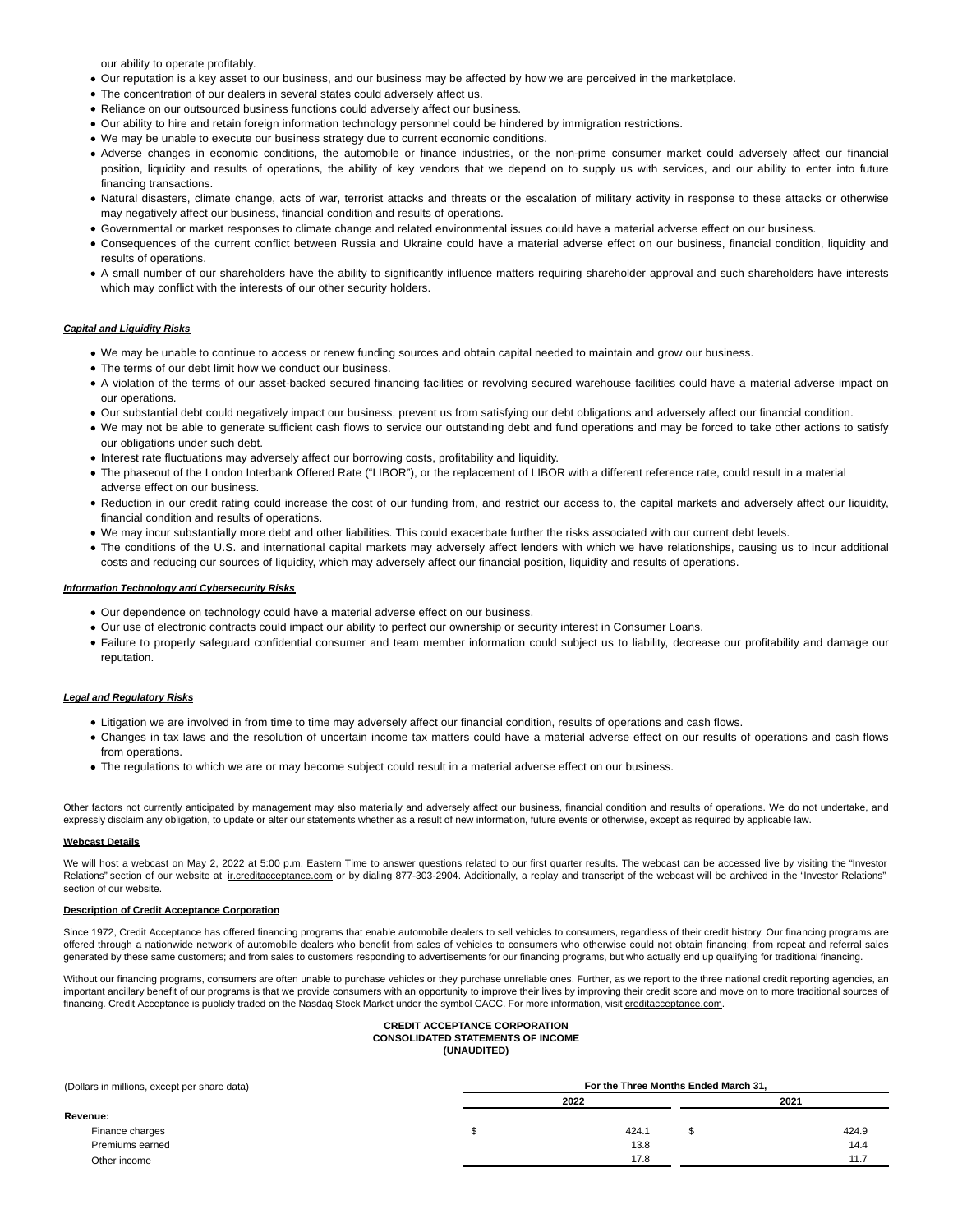our ability to operate profitably.

- Our reputation is a key asset to our business, and our business may be affected by how we are perceived in the marketplace.
- The concentration of our dealers in several states could adversely affect us.
- Reliance on our outsourced business functions could adversely affect our business.
- Our ability to hire and retain foreign information technology personnel could be hindered by immigration restrictions.
- We may be unable to execute our business strategy due to current economic conditions.
- Adverse changes in economic conditions, the automobile or finance industries, or the non-prime consumer market could adversely affect our financial position, liquidity and results of operations, the ability of key vendors that we depend on to supply us with services, and our ability to enter into future financing transactions.
- Natural disasters, climate change, acts of war, terrorist attacks and threats or the escalation of military activity in response to these attacks or otherwise may negatively affect our business, financial condition and results of operations.
- Governmental or market responses to climate change and related environmental issues could have a material adverse effect on our business.
- Consequences of the current conflict between Russia and Ukraine could have a material adverse effect on our business, financial condition, liquidity and results of operations.
- A small number of our shareholders have the ability to significantly influence matters requiring shareholder approval and such shareholders have interests which may conflict with the interests of our other security holders.

## **Capital and Liquidity Risks**

- We may be unable to continue to access or renew funding sources and obtain capital needed to maintain and grow our business.
- The terms of our debt limit how we conduct our business.
- A violation of the terms of our asset-backed secured financing facilities or revolving secured warehouse facilities could have a material adverse impact on our operations.
- Our substantial debt could negatively impact our business, prevent us from satisfying our debt obligations and adversely affect our financial condition.
- We may not be able to generate sufficient cash flows to service our outstanding debt and fund operations and may be forced to take other actions to satisfy our obligations under such debt.
- Interest rate fluctuations may adversely affect our borrowing costs, profitability and liquidity.
- The phaseout of the London Interbank Offered Rate ("LIBOR"), or the replacement of LIBOR with a different reference rate, could result in a material adverse effect on our business.
- Reduction in our credit rating could increase the cost of our funding from, and restrict our access to, the capital markets and adversely affect our liquidity, financial condition and results of operations.
- We may incur substantially more debt and other liabilities. This could exacerbate further the risks associated with our current debt levels.
- The conditions of the U.S. and international capital markets may adversely affect lenders with which we have relationships, causing us to incur additional costs and reducing our sources of liquidity, which may adversely affect our financial position, liquidity and results of operations.

## **Information Technology and Cybersecurity Risks**

- Our dependence on technology could have a material adverse effect on our business.
- Our use of electronic contracts could impact our ability to perfect our ownership or security interest in Consumer Loans.
- Failure to properly safeguard confidential consumer and team member information could subject us to liability, decrease our profitability and damage our reputation.

### **Legal and Regulatory Risks**

- Litigation we are involved in from time to time may adversely affect our financial condition, results of operations and cash flows.
- Changes in tax laws and the resolution of uncertain income tax matters could have a material adverse effect on our results of operations and cash flows from operations.
- The regulations to which we are or may become subject could result in a material adverse effect on our business.

Other factors not currently anticipated by management may also materially and adversely affect our business, financial condition and results of operations. We do not undertake, and expressly disclaim any obligation, to update or alter our statements whether as a result of new information, future events or otherwise, except as required by applicable law.

# **Webcast Details**

We will host a webcast on May 2, 2022 at 5:00 p.m. Eastern Time to answer questions related to our first quarter results. The webcast can be accessed live by visiting the "Investor Relations" section of our website at increditacceptance.com or by dialing 877-303-2904. Additionally, a replay and transcript of the webcast will be archived in the "Investor Relations" section of our website.

#### **Description of Credit Acceptance Corporation**

Since 1972, Credit Acceptance has offered financing programs that enable automobile dealers to sell vehicles to consumers, regardless of their credit history. Our financing programs are offered through a nationwide network of automobile dealers who benefit from sales of vehicles to consumers who otherwise could not obtain financing; from repeat and referral sales generated by these same customers; and from sales to customers responding to advertisements for our financing programs, but who actually end up qualifying for traditional financing.

Without our financing programs, consumers are often unable to purchase vehicles or they purchase unreliable ones. Further, as we report to the three national credit reporting agencies, an important ancillary benefit of our programs is that we provide consumers with an opportunity to improve their lives by improving their credit score and move on to more traditional sources of financing. Credit Acceptance is publicly traded on the Nasdaq Stock Market under the symbol CACC. For more information, visit creditacceptance.com.

## **CREDIT ACCEPTANCE CORPORATION CONSOLIDATED STATEMENTS OF INCOME (UNAUDITED)**

| (Dollars in millions, except per share data) | For the Three Months Ended March 31, |  |       |  |  |  |  |  |  |
|----------------------------------------------|--------------------------------------|--|-------|--|--|--|--|--|--|
|                                              | 2022                                 |  | 2021  |  |  |  |  |  |  |
| Revenue:                                     |                                      |  |       |  |  |  |  |  |  |
| Finance charges                              | 424.1                                |  | 424.9 |  |  |  |  |  |  |
| Premiums earned                              | 13.8                                 |  | 14.4  |  |  |  |  |  |  |
| Other income                                 | 17.8                                 |  | 11.7  |  |  |  |  |  |  |
|                                              |                                      |  |       |  |  |  |  |  |  |